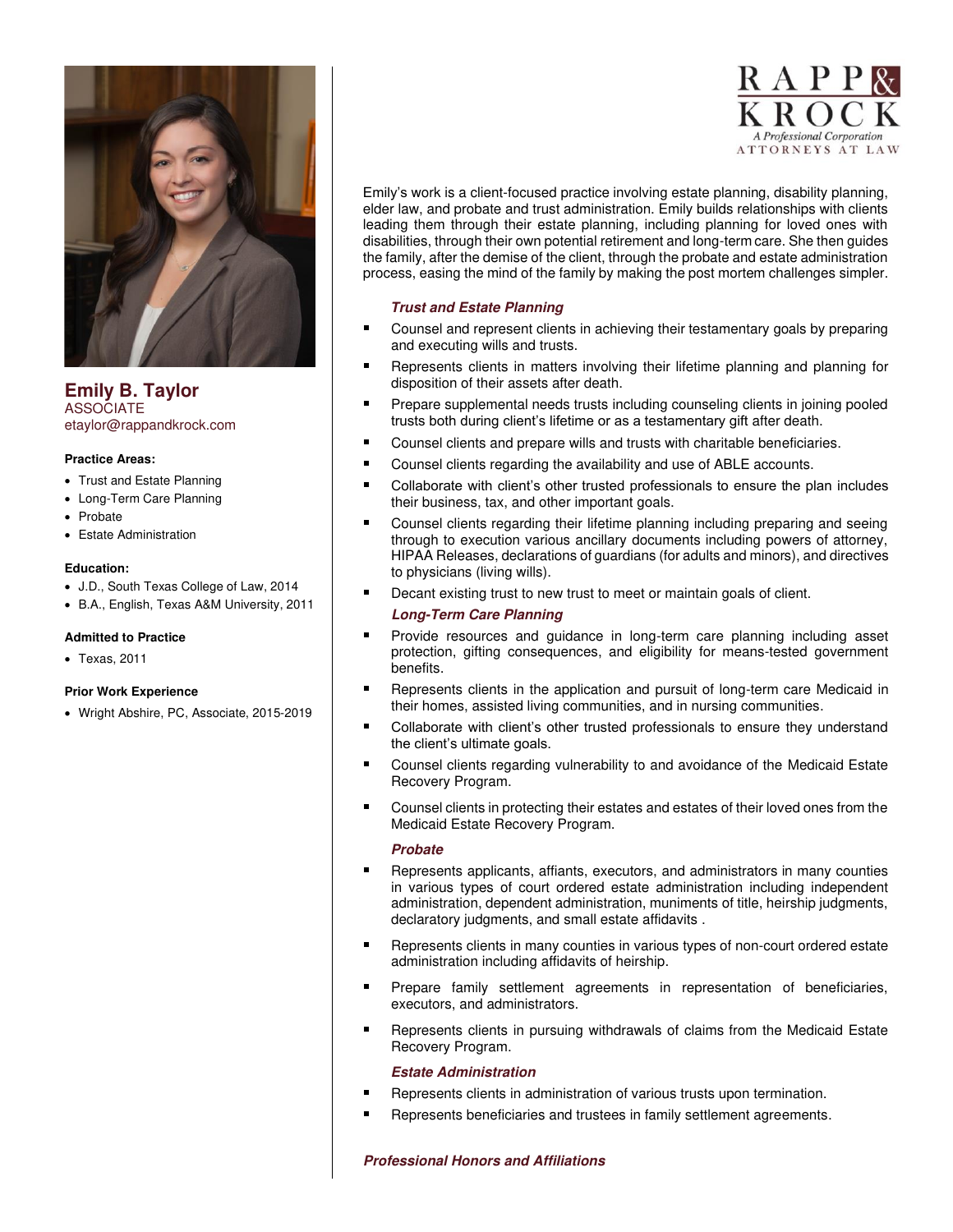

**Emily B. Taylor**  ASSOCIATE etaylor@rappandkrock.com

## **Practice Areas:**

- Trust and Estate Planning
- Long-Term Care Planning
- Probate
- Estate Administration

## **Education:**

- J.D., South Texas College of Law, 2014
- B.A., English, Texas A&M University, 2011

## **Admitted to Practice**

• Texas, 2011

## **Prior Work Experience**

• Wright Abshire, PC, Associate, 2015-2019



Emily's work is a client-focused practice involving estate planning, disability planning, elder law, and probate and trust administration. Emily builds relationships with clients leading them through their estate planning, including planning for loved ones with disabilities, through their own potential retirement and long-term care. She then guides the family, after the demise of the client, through the probate and estate administration process, easing the mind of the family by making the post mortem challenges simpler.

## **Trust and Estate Planning**

- Counsel and represent clients in achieving their testamentary goals by preparing and executing wills and trusts.
- Represents clients in matters involving their lifetime planning and planning for disposition of their assets after death.
- Prepare supplemental needs trusts including counseling clients in joining pooled trusts both during client's lifetime or as a testamentary gift after death.
- Counsel clients and prepare wills and trusts with charitable beneficiaries.
- Counsel clients regarding the availability and use of ABLE accounts.
- Collaborate with client's other trusted professionals to ensure the plan includes their business, tax, and other important goals.
- Counsel clients regarding their lifetime planning including preparing and seeing through to execution various ancillary documents including powers of attorney, HIPAA Releases, declarations of guardians (for adults and minors), and directives to physicians (living wills).
- Decant existing trust to new trust to meet or maintain goals of client.

## **Long-Term Care Planning**

- Provide resources and guidance in long-term care planning including asset protection, gifting consequences, and eligibility for means-tested government benefits.
- Represents clients in the application and pursuit of long-term care Medicaid in their homes, assisted living communities, and in nursing communities.
- Collaborate with client's other trusted professionals to ensure they understand the client's ultimate goals.
- Counsel clients regarding vulnerability to and avoidance of the Medicaid Estate Recovery Program.
- Counsel clients in protecting their estates and estates of their loved ones from the Medicaid Estate Recovery Program.

## **Probate**

- Represents applicants, affiants, executors, and administrators in many counties in various types of court ordered estate administration including independent administration, dependent administration, muniments of title, heirship judgments, declaratory judgments, and small estate affidavits .
- Represents clients in many counties in various types of non-court ordered estate administration including affidavits of heirship.
- Prepare family settlement agreements in representation of beneficiaries, executors, and administrators.
- Represents clients in pursuing withdrawals of claims from the Medicaid Estate Recovery Program.

# **Estate Administration**

- Represents clients in administration of various trusts upon termination.
- Represents beneficiaries and trustees in family settlement agreements.

# **Professional Honors and Affiliations**